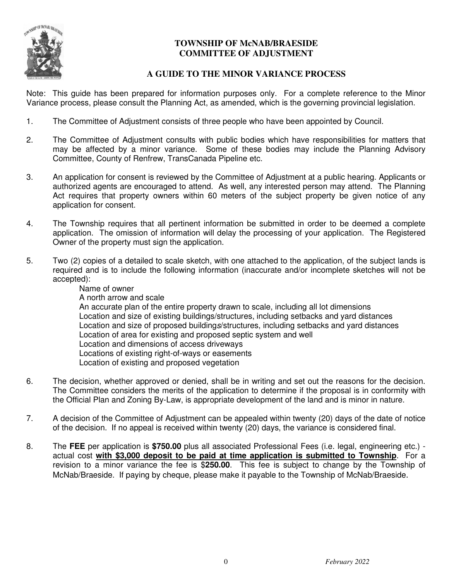

### **TOWNSHIP OF McNAB/BRAESIDE COMMITTEE OF ADJUSTMENT**

### **A GUIDE TO THE MINOR VARIANCE PROCESS**

Note: This guide has been prepared for information purposes only. For a complete reference to the Minor Variance process, please consult the Planning Act, as amended, which is the governing provincial legislation.

- 1. The Committee of Adjustment consists of three people who have been appointed by Council.
- 2. The Committee of Adjustment consults with public bodies which have responsibilities for matters that may be affected by a minor variance. Some of these bodies may include the Planning Advisory Committee, County of Renfrew, TransCanada Pipeline etc.
- 3. An application for consent is reviewed by the Committee of Adjustment at a public hearing. Applicants or authorized agents are encouraged to attend. As well, any interested person may attend. The Planning Act requires that property owners within 60 meters of the subject property be given notice of any application for consent.
- 4. The Township requires that all pertinent information be submitted in order to be deemed a complete application. The omission of information will delay the processing of your application. The Registered Owner of the property must sign the application.
- 5. Two (2) copies of a detailed to scale sketch, with one attached to the application, of the subject lands is required and is to include the following information (inaccurate and/or incomplete sketches will not be accepted):
	- Name of owner A north arrow and scale An accurate plan of the entire property drawn to scale, including all lot dimensions Location and size of existing buildings/structures, including setbacks and yard distances Location and size of proposed buildings/structures, including setbacks and yard distances Location of area for existing and proposed septic system and well Location and dimensions of access driveways Locations of existing right-of-ways or easements Location of existing and proposed vegetation
- 6. The decision, whether approved or denied, shall be in writing and set out the reasons for the decision. The Committee considers the merits of the application to determine if the proposal is in conformity with the Official Plan and Zoning By-Law, is appropriate development of the land and is minor in nature.
- 7. A decision of the Committee of Adjustment can be appealed within twenty (20) days of the date of notice of the decision. If no appeal is received within twenty (20) days, the variance is considered final.
- 8. The **FEE** per application is **\$750.00** plus all associated Professional Fees (i.e. legal, engineering etc.) actual cost **with \$3,000 deposit to be paid at time application is submitted to Township**. For a revision to a minor variance the fee is \$**250.00**. This fee is subject to change by the Township of McNab/Braeside. If paying by cheque, please make it payable to the Township of McNab/Braeside.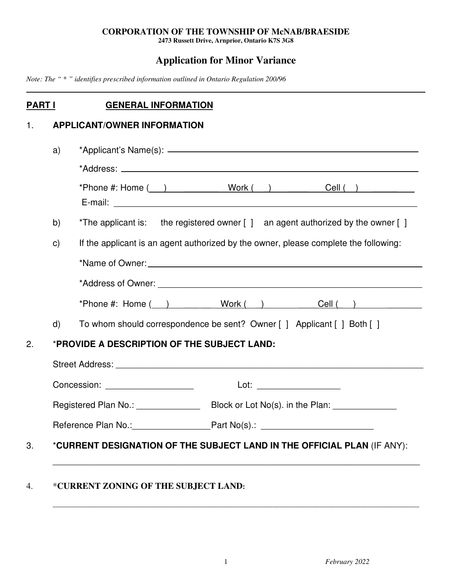### **CORPORATION OF THE TOWNSHIP OF McNAB/BRAESIDE**

**2473 Russett Drive, Arnprior, Ontario K7S 3G8**

# **Application for Minor Variance**

*Note: The "* \* *" identifies prescribed information outlined in Ontario Regulation 200/96* 

## **PART I** GENERAL INFORMATION

# 1. **APPLICANT/OWNER INFORMATION**

|                | E-mail: <u>Alexander Alexander Alexander Alexander Alexander Alexander Alexander Alexander Alexander Alexander Alexander Alexander Alexander Alexander Alexander Alexander Alexander Alexander Alexander Alexander Alexander Ale</u>                                 |  |  |  |  |
|----------------|----------------------------------------------------------------------------------------------------------------------------------------------------------------------------------------------------------------------------------------------------------------------|--|--|--|--|
| b)             | *The applicant is: the registered owner [ ] an agent authorized by the owner [ ]                                                                                                                                                                                     |  |  |  |  |
| $\mathsf{C}$ ) | If the applicant is an agent authorized by the owner, please complete the following:                                                                                                                                                                                 |  |  |  |  |
|                |                                                                                                                                                                                                                                                                      |  |  |  |  |
|                |                                                                                                                                                                                                                                                                      |  |  |  |  |
|                | *Phone #: Home ( ) Work ( ) Cell ( )                                                                                                                                                                                                                                 |  |  |  |  |
| $\mathsf{d}$   | To whom should correspondence be sent? Owner [ ] Applicant [ ] Both [ ]                                                                                                                                                                                              |  |  |  |  |
|                | *PROVIDE A DESCRIPTION OF THE SUBJECT LAND:                                                                                                                                                                                                                          |  |  |  |  |
|                | Street Address: No. 2016. The Street Address: No. 2016. The Street Address: No. 2016. The Street Address: No. 2017. The Street Address: No. 2017. The Street Address: No. 2017. The Street Address: No. 2017. The Street Addre                                       |  |  |  |  |
|                | Concession: <u>contract and contract and contract and contract and contract and contract and contract and contract and contract and contract and contract and contract and contract and contract and contract and contract and c</u><br>Lot: _______________________ |  |  |  |  |
|                |                                                                                                                                                                                                                                                                      |  |  |  |  |
|                | Reference Plan No.: ____________________________Part No(s).: ____________________                                                                                                                                                                                    |  |  |  |  |
|                | *CURRENT DESIGNATION OF THE SUBJECT LAND IN THE OFFICIAL PLAN (IF ANY):                                                                                                                                                                                              |  |  |  |  |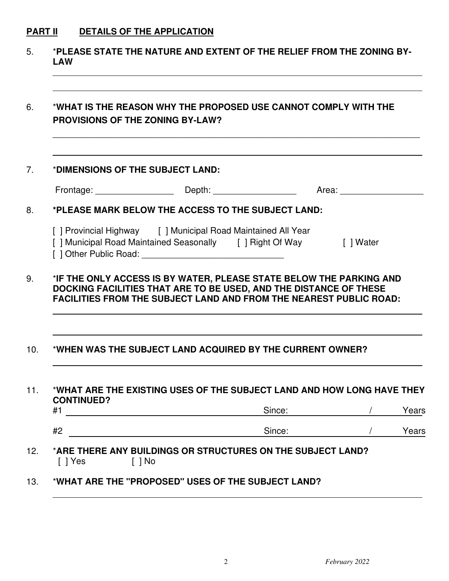# **PART II DETAILS OF THE APPLICATION**

|                                  | *WHAT IS THE REASON WHY THE PROPOSED USE CANNOT COMPLY WITH THE<br><b>PROVISIONS OF THE ZONING BY-LAW?</b>                                                                                                                                                                                   |                  |  |
|----------------------------------|----------------------------------------------------------------------------------------------------------------------------------------------------------------------------------------------------------------------------------------------------------------------------------------------|------------------|--|
| *DIMENSIONS OF THE SUBJECT LAND: |                                                                                                                                                                                                                                                                                              |                  |  |
|                                  |                                                                                                                                                                                                                                                                                              |                  |  |
|                                  | *PLEASE MARK BELOW THE ACCESS TO THE SUBJECT LAND:                                                                                                                                                                                                                                           |                  |  |
|                                  | [ ] Provincial Highway [ ] Municipal Road Maintained All Year                                                                                                                                                                                                                                |                  |  |
|                                  | [ ] Municipal Road Maintained Seasonally [ ] Right Of Way [ ] Water<br>*IF THE ONLY ACCESS IS BY WATER, PLEASE STATE BELOW THE PARKING AND<br>DOCKING FACILITIES THAT ARE TO BE USED, AND THE DISTANCE OF THESE<br><b>FACILITIES FROM THE SUBJECT LAND AND FROM THE NEAREST PUBLIC ROAD:</b> |                  |  |
|                                  | *WHEN WAS THE SUBJECT LAND ACQUIRED BY THE CURRENT OWNER?                                                                                                                                                                                                                                    |                  |  |
| <b>CONTINUED?</b>                | *WHAT ARE THE EXISTING USES OF THE SUBJECT LAND AND HOW LONG HAVE THEY                                                                                                                                                                                                                       |                  |  |
| #1<br>#2                         |                                                                                                                                                                                                                                                                                              | Since:<br>Since: |  |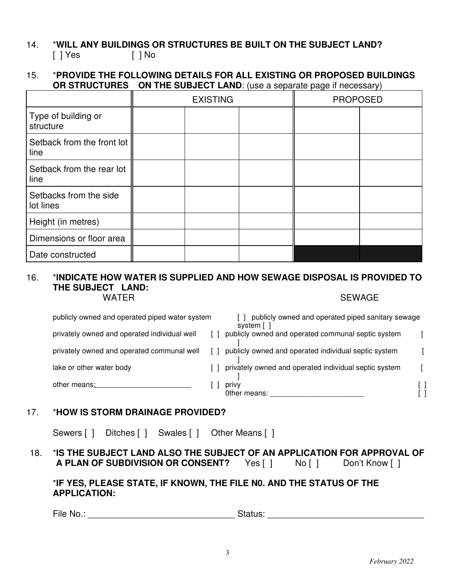### 14. \***WILL ANY BUILDINGS OR STRUCTURES BE BUILT ON THE SUBJECT LAND?**  [ ] Yes [ ] No

### 15. \***PROVIDE THE FOLLOWING DETAILS FOR ALL EXISTING OR PROPOSED BUILDINGS OR STRUCTURES ON THE SUBJECT LAND:** (use a separate page if necessary)

|                                     | <b>EXISTING</b> |  | <b>PROPOSED</b> |  |  |
|-------------------------------------|-----------------|--|-----------------|--|--|
| Type of building or<br>structure    |                 |  |                 |  |  |
| Setback from the front lot<br>line  |                 |  |                 |  |  |
| Setback from the rear lot<br>line   |                 |  |                 |  |  |
| Setbacks from the side<br>lot lines |                 |  |                 |  |  |
| Height (in metres)                  |                 |  |                 |  |  |
| Dimensions or floor area            |                 |  |                 |  |  |
| Date constructed                    |                 |  |                 |  |  |

### 16. \***INDICATE HOW WATER IS SUPPLIED AND HOW SEWAGE DISPOSAL IS PROVIDED TO THE SUBJECT LAND:** WATER SEWAGE SEWAGE

| publicly owned and operated piped water system | publicly owned and operated piped sanitary sewage<br>system [ |  |
|------------------------------------------------|---------------------------------------------------------------|--|
| privately owned and operated individual well   | publicly owned and operated communal septic system            |  |
| privately owned and operated communal well     | publicly owned and operated individual septic system          |  |
| lake or other water body                       | privately owned and operated individual septic system         |  |
| other means:                                   | privy<br>Other means:                                         |  |

### 17. \***HOW IS STORM DRAINAGE PROVIDED?**

Sewers [ ] Ditches [ ] Swales [ ] Other Means [ ]

### 18. \***IS THE SUBJECT LAND ALSO THE SUBJECT OF AN APPLICATION FOR APPROVAL OF A PLAN OF SUBDIVISION OR CONSENT?** Yes [ ] No [ ] Don't Know [ ]

### \***IF YES, PLEASE STATE, IF KNOWN, THE FILE N0. AND THE STATUS OF THE APPLICATION:**

File No.: \_\_\_\_\_\_\_\_\_\_\_\_\_\_\_\_\_\_\_\_\_\_\_\_\_\_\_\_\_\_ Status: \_\_\_\_\_\_\_\_\_\_\_\_\_\_\_\_\_\_\_\_\_\_\_\_\_\_\_\_\_\_\_\_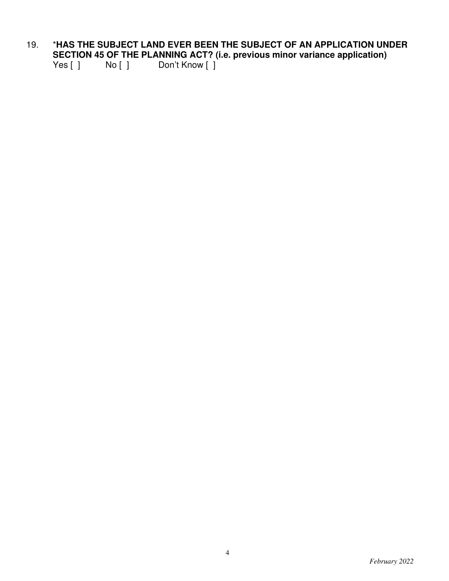# 19. \***HAS THE SUBJECT LAND EVER BEEN THE SUBJECT OF AN APPLICATION UNDER SECTION 45 OF THE PLANNING ACT? (i.e. previous minor variance application)**<br>Yes [ ] No [ ] Don't Know [ ]

 $Yes [ ]$   $No [ ]$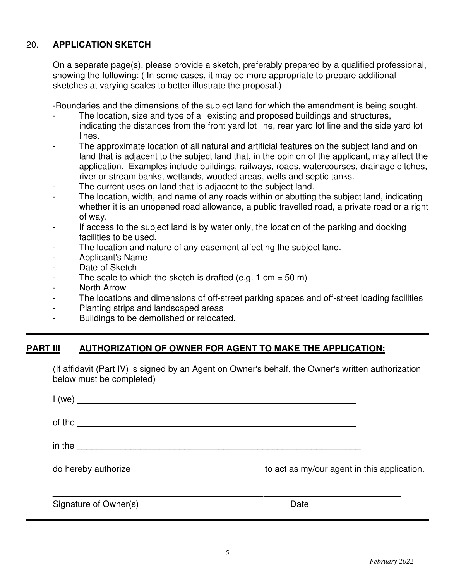### 20. **APPLICATION SKETCH**

On a separate page(s), please provide a sketch, preferably prepared by a qualified professional, showing the following: ( In some cases, it may be more appropriate to prepare additional sketches at varying scales to better illustrate the proposal.)

-Boundaries and the dimensions of the subject land for which the amendment is being sought.

- The location, size and type of all existing and proposed buildings and structures, indicating the distances from the front yard lot line, rear yard lot line and the side yard lot lines.
- The approximate location of all natural and artificial features on the subject land and on land that is adjacent to the subject land that, in the opinion of the applicant, may affect the application. Examples include buildings, railways, roads, watercourses, drainage ditches, river or stream banks, wetlands, wooded areas, wells and septic tanks.
- The current uses on land that is adjacent to the subject land.
- The location, width, and name of any roads within or abutting the subject land, indicating whether it is an unopened road allowance, a public travelled road, a private road or a right of way.
- If access to the subject land is by water only, the location of the parking and docking facilities to be used.
- The location and nature of any easement affecting the subject land.
- Applicant's Name
- Date of Sketch
- The scale to which the sketch is drafted (e.g. 1 cm =  $50 \text{ m}$ )
- North Arrow
- The locations and dimensions of off-street parking spaces and off-street loading facilities
- Planting strips and landscaped areas
- Buildings to be demolished or relocated.

### **PART III AUTHORIZATION OF OWNER FOR AGENT TO MAKE THE APPLICATION:**

(If affidavit (Part IV) is signed by an Agent on Owner's behalf, the Owner's written authorization below must be completed)

| of the                                      |
|---------------------------------------------|
| in the $\overline{\phantom{a}}$             |
| to act as my/our agent in this application. |
| Date                                        |
|                                             |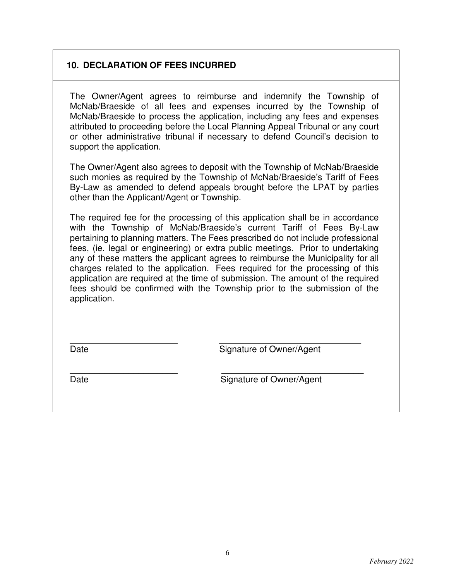### **10. DECLARATION OF FEES INCURRED**

The Owner/Agent agrees to reimburse and indemnify the Township of McNab/Braeside of all fees and expenses incurred by the Township of McNab/Braeside to process the application, including any fees and expenses attributed to proceeding before the Local Planning Appeal Tribunal or any court or other administrative tribunal if necessary to defend Council's decision to support the application.

The Owner/Agent also agrees to deposit with the Township of McNab/Braeside such monies as required by the Township of McNab/Braeside's Tariff of Fees By-Law as amended to defend appeals brought before the LPAT by parties other than the Applicant/Agent or Township.

The required fee for the processing of this application shall be in accordance with the Township of McNab/Braeside's current Tariff of Fees By-Law pertaining to planning matters. The Fees prescribed do not include professional fees, (ie. legal or engineering) or extra public meetings. Prior to undertaking any of these matters the applicant agrees to reimburse the Municipality for all charges related to the application. Fees required for the processing of this application are required at the time of submission. The amount of the required fees should be confirmed with the Township prior to the submission of the application.

\_\_\_\_\_\_\_\_\_\_\_\_\_\_\_\_\_\_\_\_\_\_ \_\_\_\_\_\_\_\_\_\_\_\_\_\_\_\_\_\_\_\_\_\_\_\_\_\_\_\_\_

\_\_\_\_\_\_\_\_\_\_\_\_\_\_\_\_\_\_\_\_\_\_ \_\_\_\_\_\_\_\_\_\_\_\_\_\_\_\_\_\_\_\_\_\_\_\_\_\_\_\_\_

Date **Signature of Owner/Agent** 

Date **Signature of Owner/Agent**